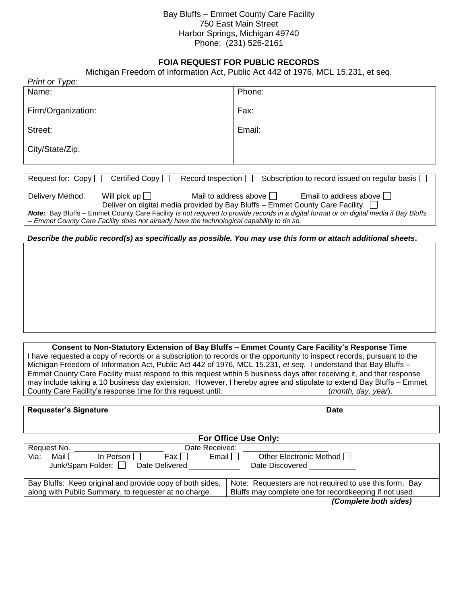## Bay Bluffs – Emmet County Care Facility 750 East Main Street Harbor Springs, Michigan 49740 Phone: (231) 526-2161

## **FOIA REQUEST FOR PUBLIC RECORDS**

Michigan Freedom of Information Act, Public Act 442 of 1976, MCL 15.231, et seq.

| Print or Type:                                                                                                                                                                                                                                                                                                                                                                                                                   |        |  |
|----------------------------------------------------------------------------------------------------------------------------------------------------------------------------------------------------------------------------------------------------------------------------------------------------------------------------------------------------------------------------------------------------------------------------------|--------|--|
| Name:                                                                                                                                                                                                                                                                                                                                                                                                                            | Phone: |  |
| Firm/Organization:                                                                                                                                                                                                                                                                                                                                                                                                               | Fax:   |  |
| Street:                                                                                                                                                                                                                                                                                                                                                                                                                          | Email: |  |
| City/State/Zip:                                                                                                                                                                                                                                                                                                                                                                                                                  |        |  |
|                                                                                                                                                                                                                                                                                                                                                                                                                                  |        |  |
| Certified Copy $\Box$<br>Request for: $Copy$<br>Record Inspection $\Box$<br>Subscription to record issued on regular basis [                                                                                                                                                                                                                                                                                                     |        |  |
| Will pick up $\Box$<br>Mail to address above $\Box$<br>Email to address above $\Box$<br>Delivery Method:<br>Deliver on digital media provided by Bay Bluffs – Emmet County Care Facility. □<br>Note: Bay Bluffs - Emmet County Care Facility is not required to provide records in a digital format or on digital media if Bay Bluffs<br>Emmet County Care Facility does not already have the technological capability to do so. |        |  |
| Describe the public record(s) as specifically as possible. You may use this form or attach additional sheets.                                                                                                                                                                                                                                                                                                                    |        |  |
|                                                                                                                                                                                                                                                                                                                                                                                                                                  |        |  |
|                                                                                                                                                                                                                                                                                                                                                                                                                                  |        |  |
|                                                                                                                                                                                                                                                                                                                                                                                                                                  |        |  |
|                                                                                                                                                                                                                                                                                                                                                                                                                                  |        |  |
|                                                                                                                                                                                                                                                                                                                                                                                                                                  |        |  |
|                                                                                                                                                                                                                                                                                                                                                                                                                                  |        |  |
|                                                                                                                                                                                                                                                                                                                                                                                                                                  |        |  |

**Consent to Non-Statutory Extension of Bay Bluffs – Emmet County Care Facility's Response Time** I have requested a copy of records or a subscription to records or the opportunity to inspect records, pursuant to the Michigan Freedom of Information Act, Public Act 442 of 1976, MCL 15.231, *et seq*. I understand that Bay Bluffs – Emmet County Care Facility must respond to this request within 5 business days after receiving it, and that response may include taking a 10 business day extension. However, I hereby agree and stipulate to extend Bay Bluffs – Emmet County Care Facility's response time for this request until: (*month, day, year*).

| <b>Requester's Signature</b>                                                                                                                             | <b>Date</b>                                                                                                       |  |
|----------------------------------------------------------------------------------------------------------------------------------------------------------|-------------------------------------------------------------------------------------------------------------------|--|
| For Office Use Only:                                                                                                                                     |                                                                                                                   |  |
| Request No.<br>Date Received:<br>Mail I<br>In Person L'<br>Fax I I<br>Email $\Box$<br>Via:<br>Junk/Spam Folder:<br>Date Delivered and the Date Delivered | Other Electronic Method □<br>Date Discovered                                                                      |  |
| Bay Bluffs: Keep original and provide copy of both sides,<br>along with Public Summary, to requester at no charge.                                       | Note: Requesters are not required to use this form. Bay<br>Bluffs may complete one for recordkeeping if not used. |  |
|                                                                                                                                                          | (Complete both sides)                                                                                             |  |